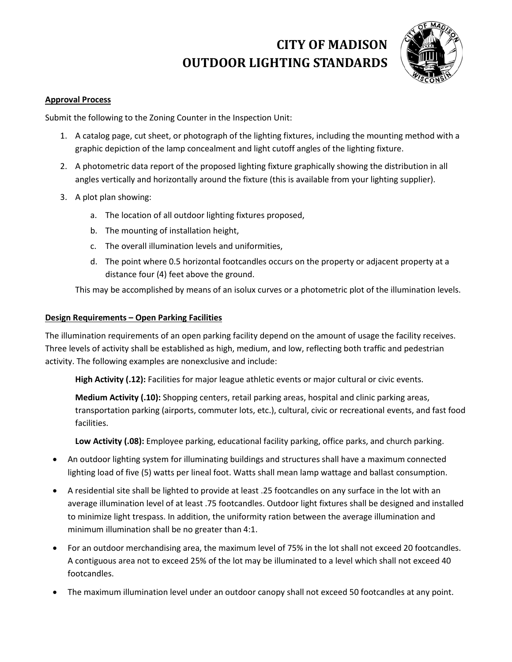# **CITY OF MADISON OUTDOOR LIGHTING STANDARDS**



#### **Approval Process**

Submit the following to the Zoning Counter in the Inspection Unit:

- 1. A catalog page, cut sheet, or photograph of the lighting fixtures, including the mounting method with a graphic depiction of the lamp concealment and light cutoff angles of the lighting fixture.
- 2. A photometric data report of the proposed lighting fixture graphically showing the distribution in all angles vertically and horizontally around the fixture (this is available from your lighting supplier).
- 3. A plot plan showing:
	- a. The location of all outdoor lighting fixtures proposed,
	- b. The mounting of installation height,
	- c. The overall illumination levels and uniformities,
	- d. The point where 0.5 horizontal footcandles occurs on the property or adjacent property at a distance four (4) feet above the ground.

This may be accomplished by means of an isolux curves or a photometric plot of the illumination levels.

#### **Design Requirements – Open Parking Facilities**

The illumination requirements of an open parking facility depend on the amount of usage the facility receives. Three levels of activity shall be established as high, medium, and low, reflecting both traffic and pedestrian activity. The following examples are nonexclusive and include:

**High Activity (.12):** Facilities for major league athletic events or major cultural or civic events.

**Medium Activity (.10):** Shopping centers, retail parking areas, hospital and clinic parking areas, transportation parking (airports, commuter lots, etc.), cultural, civic or recreational events, and fast food facilities.

**Low Activity (.08):** Employee parking, educational facility parking, office parks, and church parking.

- An outdoor lighting system for illuminating buildings and structures shall have a maximum connected lighting load of five (5) watts per lineal foot. Watts shall mean lamp wattage and ballast consumption.
- A residential site shall be lighted to provide at least .25 footcandles on any surface in the lot with an average illumination level of at least .75 footcandles. Outdoor light fixtures shall be designed and installed to minimize light trespass. In addition, the uniformity ration between the average illumination and minimum illumination shall be no greater than 4:1.
- For an outdoor merchandising area, the maximum level of 75% in the lot shall not exceed 20 footcandles. A contiguous area not to exceed 25% of the lot may be illuminated to a level which shall not exceed 40 footcandles.
- The maximum illumination level under an outdoor canopy shall not exceed 50 footcandles at any point.